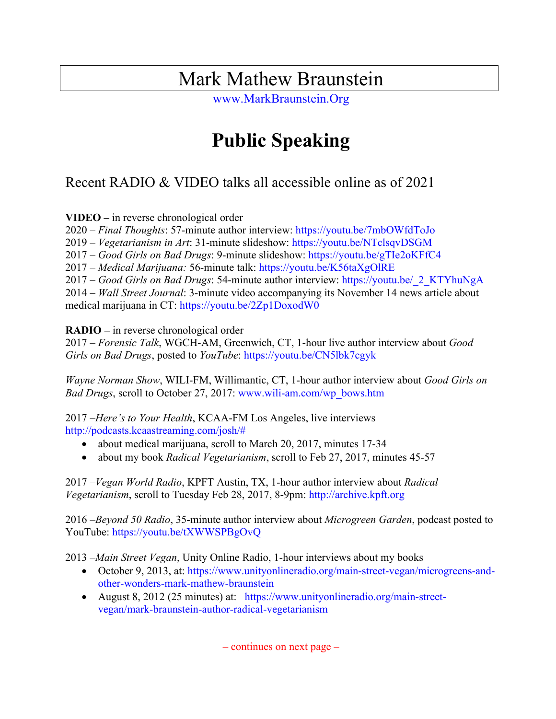## Mark Mathew Braunstein

www.MarkBraunstein.Org

# **Public Speaking**

### Recent RADIO & VIDEO talks all accessible online as of 2021

**VIDEO –** in reverse chronological order

2020 – *Final Thoughts*: 57-minute author interview: https://youtu.be/7mbOWfdToJo

2019 – *Vegetarianism in Art*: 31-minute slideshow: https://youtu.be/NTclsqvDSGM

2017 – *Good Girls on Bad Drugs*: 9-minute slideshow: https://youtu.be/gTIe2oKFfC4

2017 – *Medical Marijuana:* 56-minute talk: https://youtu.be/K56taXgOlRE

2017 – *Good Girls on Bad Drugs*: 54-minute author interview: https://youtu.be/\_2\_KTYhuNgA

2014 – *Wall Street Journal*: 3-minute video accompanying its November 14 news article about medical marijuana in CT: https://youtu.be/2Zp1DoxodW0

#### **RADIO –** in reverse chronological order

2017 – *Forensic Talk*, WGCH-AM, Greenwich, CT, 1-hour live author interview about *Good Girls on Bad Drugs*, posted to *YouTube*: https://youtu.be/CN5lbk7cgyk

*Wayne Norman Show*, WILI-FM, Willimantic, CT, 1-hour author interview about *Good Girls on Bad Drugs*, scroll to October 27, 2017: www.wili-am.com/wp\_bows.htm

2017 –*Here's to Your Health*, KCAA-FM Los Angeles, live interviews http://podcasts.kcaastreaming.com/josh/#

- about medical marijuana, scroll to March 20, 2017, minutes 17-34
- about my book *Radical Vegetarianism*, scroll to Feb 27, 2017, minutes 45-57

2017 –*Vegan World Radio*, KPFT Austin, TX, 1-hour author interview about *Radical Vegetarianism*, scroll to Tuesday Feb 28, 2017, 8-9pm: http://archive.kpft.org

2016 –*Beyond 50 Radio*, 35-minute author interview about *Microgreen Garden*, podcast posted to YouTube: https://youtu.be/tXWWSPBgOvQ

2013 –*Main Street Vegan*, Unity Online Radio, 1-hour interviews about my books

- October 9, 2013, at: https://www.unityonlineradio.org/main-street-vegan/microgreens-andother-wonders-mark-mathew-braunstein
- August 8, 2012 (25 minutes) at: https://www.unityonlineradio.org/main-streetvegan/mark-braunstein-author-radical-vegetarianism

– continues on next page –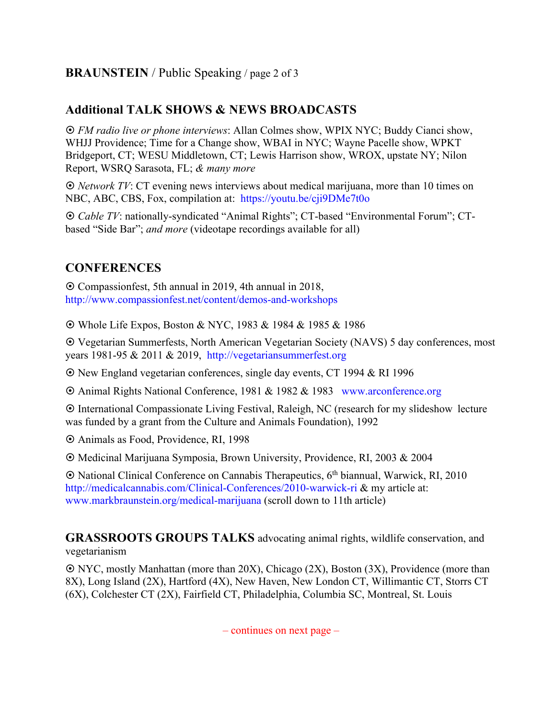#### **BRAUNSTEIN** / Public Speaking / page 2 of 3

#### **Additional TALK SHOWS & NEWS BROADCASTS**

¤ *FM radio live or phone interviews*: Allan Colmes show, WPIX NYC; Buddy Cianci show, WHJJ Providence; Time for a Change show, WBAI in NYC; Wayne Pacelle show, WPKT Bridgeport, CT; WESU Middletown, CT; Lewis Harrison show, WROX, upstate NY; Nilon Report, WSRQ Sarasota, FL; *& many more*

¤ *Network TV*: CT evening news interviews about medical marijuana, more than 10 times on NBC, ABC, CBS, Fox, compilation at: https://youtu.be/cji9DMe7t0o

¤ *Cable TV*: nationally-syndicated "Animal Rights"; CT-based "Environmental Forum"; CTbased "Side Bar"; *and more* (videotape recordings available for all)

### **CONFERENCES**

¤ Compassionfest, 5th annual in 2019, 4th annual in 2018, http://www.compassionfest.net/content/demos-and-workshops

¤ Whole Life Expos, Boston & NYC, 1983 & 1984 & 1985 & 1986

¤ Vegetarian Summerfests, North American Vegetarian Society (NAVS) 5 day conferences, most years 1981-95 & 2011 & 2019, http://vegetariansummerfest.org

¤ New England vegetarian conferences, single day events, CT 1994 & RI 1996

¤ Animal Rights National Conference, 1981 & 1982 & 1983 www.arconference.org

¤ International Compassionate Living Festival, Raleigh, NC (research for my slideshow lecture was funded by a grant from the Culture and Animals Foundation), 1992

 $\odot$  Animals as Food, Providence, RI, 1998

¤ Medicinal Marijuana Symposia, Brown University, Providence, RI, 2003 & 2004

¤ National Clinical Conference on Cannabis Therapeutics, 6th biannual, Warwick, RI, 2010 http://medicalcannabis.com/Clinical-Conferences/2010-warwick-ri & my article at: www.markbraunstein.org/medical-marijuana (scroll down to 11th article)

**GRASSROOTS GROUPS TALKS** advocating animal rights, wildlife conservation, and vegetarianism

¤ NYC, mostly Manhattan (more than 20X), Chicago (2X), Boston (3X), Providence (more than 8X), Long Island (2X), Hartford (4X), New Haven, New London CT, Willimantic CT, Storrs CT (6X), Colchester CT (2X), Fairfield CT, Philadelphia, Columbia SC, Montreal, St. Louis

 $-$  continues on next page  $-$